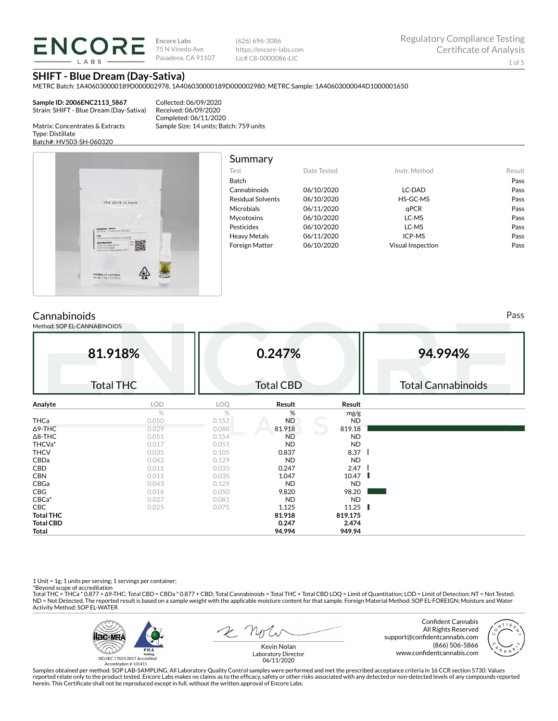**ENCORE** 

**Encore Labs** 75 N Vinedo Ave. Pasadena, CA 91107

(626) 696-3086 https://encore-labs.com Lic# C8-0000086-LIC

**SHIFT - Blue Dream (Day-Sativa)**

METRC Batch: 1A406030000189D000002978, 1A406030000189D000002980; METRC Sample: 1A40603000044D1000001650

**Sample ID: 2006ENC2113\_5867** Strain: SHIFT - Blue Dream (Day-Sativa)

Collected: 06/09/2020 Received: 06/09/2020 Completed: 06/11/2020 Sample Size: 14 units; Batch: 759 units

Matrix: Concentrates & Extracts Type: Distillate Batch#: HV503-SH-060320



| Summary                  |             |                          |        |
|--------------------------|-------------|--------------------------|--------|
| Test                     | Date Tested | Instr. Method            | Result |
| Batch                    |             |                          | Pass   |
| Cannabinoids             | 06/10/2020  | LC-DAD                   | Pass   |
| <b>Residual Solvents</b> | 06/10/2020  | HS-GC-MS                 | Pass   |
| Microbials               | 06/11/2020  | aPCR                     | Pass   |
| <b>Mycotoxins</b>        | 06/10/2020  | LC-MS                    | Pass   |
| Pesticides               | 06/10/2020  | LC-MS                    | Pass   |
| <b>Heavy Metals</b>      | 06/11/2020  | ICP-MS                   | Pass   |
| <b>Foreign Matter</b>    | 06/10/2020  | <b>Visual Inspection</b> | Pass   |

## **Cannabinoids**

Method: SOP EL-CANNABINOIDS

**81.918%** Total THC **0.247%** Total CBD **94.994%** Total Cannabinoids **Analyte LOD LOQ Result Result** %  $\%$  mg/g **THCa** 0.050 0.152 ND ND ND  $\Delta$ 9-THC 0.029 0.029 0.088 81.918 819.18  $\Delta$ 8-THC ND ND THCVa\* 0.017 0.051 ND ND **THCV 6.035** 0.035 0.105 **0.837 8.37** CBDa 0.042 0.129 ND ND **CBD** 0.011 0.035 **0.247** 2.47 **CBN** 0.011 0.035 **1.047 10.47** 10.47 CBGa 0.043 0.129 ND ND **CBG** 2820 98.20 98.20 CBCa\* 0.027 0.081 ND ND **CBC** 2.025 0.025 0.075 **1.125 11.25 Total THC 81.918 819.175**

1 Unit = 1g; 1 units per serving; 1 servings per container;

\*Beyond scope of accreditation<br>Total THC = THCa \* 0.877 + ∆9-THC; Total CBD = CBDa \* 0.877 + CBD; Total Cannabinoids = Total THC + Total CBD LOQ = Limit of Quantitation; LOD = Limit of Detection; NT = Not Tested; ND = Not Detected. The reported result is based on a sample weight with the applicable moisture content for that sample. Foreign Material Method: SOP EL-FOREIGN; Moisture and Water Activity Method: SOP EL-WATER



**Total CBD 0.247 2.474 Total 94.994 949.94**

> Confident Cannabis All Rights Reserved support@confidentcannabis.com (866) 506-5866 www.confidentcannabis.com



Kevin Nolan Laboratory Director 06/11/2020

Samples obtained per method: SOP LAB-SAMPLING. All Laboratory Quality Control samples were performed and met the prescribed acceptance criteria in 16 CCR section 5730. Values reported relate only to the product tested. Encore Labs makes no claims as to the efficacy, safety or other risks associated with any detected or non-detected levels of any compounds reported<br>herein. This Certificate shall

Pass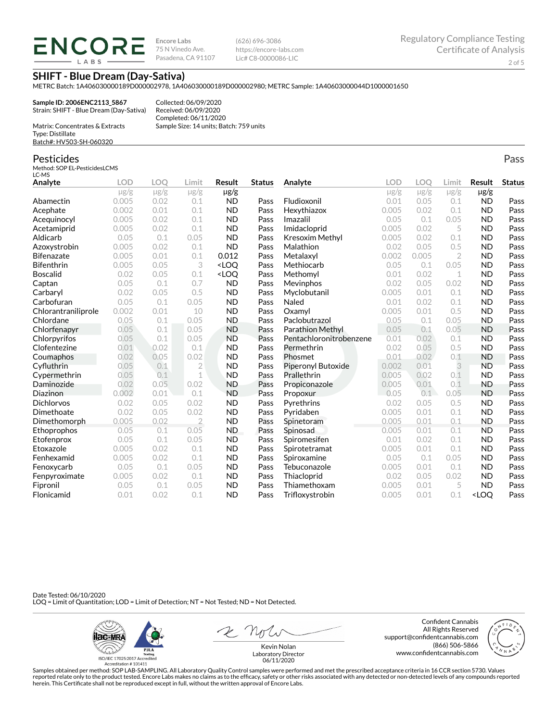**ENCORE** LABS

**Encore Labs** 75 N Vinedo Ave. Pasadena, CA 91107 (626) 696-3086 https://encore-labs.com Lic# C8-0000086-LIC

**SHIFT - Blue Dream (Day-Sativa)**

METRC Batch: 1A406030000189D000002978, 1A406030000189D000002980; METRC Sample: 1A40603000044D1000001650

**Sample ID: 2006ENC2113\_5867** Strain: SHIFT - Blue Dream (Day-Sativa) Matrix: Concentrates & Extracts

Collected: 06/09/2020 Received: 06/09/2020 Completed: 06/11/2020 Sample Size: 14 units; Batch: 759 units

Type: Distillate Batch#: HV503-SH-060320

### Pesticides

Method: SOP EL-PesticidesLCMS LC-MS

| ᄔᄓᄓ<br>Analyte      | <b>LOD</b> | <b>LOO</b> | Limit          | Result                                                                                                                   | <b>Status</b> | Analyte                 | LOD       | LOQ       | Limit          | Result                           | <b>Status</b> |
|---------------------|------------|------------|----------------|--------------------------------------------------------------------------------------------------------------------------|---------------|-------------------------|-----------|-----------|----------------|----------------------------------|---------------|
|                     | $\mu$ g/g  | $\mu$ g/g  | $\mu$ g/g      | $\mu$ g/g                                                                                                                |               |                         | $\mu$ g/g | $\mu$ g/g | $\mu$ g/g      | $\mu$ g/g                        |               |
| Abamectin           | 0.005      | 0.02       | 0.1            | <b>ND</b>                                                                                                                | Pass          | Fludioxonil             | 0.01      | 0.05      | 0.1            | <b>ND</b>                        | Pass          |
| Acephate            | 0.002      | 0.01       | 0.1            | <b>ND</b>                                                                                                                | Pass          | Hexythiazox             | 0.005     | 0.02      | 0.1            | <b>ND</b>                        | Pass          |
| Acequinocyl         | 0.005      | 0.02       | 0.1            | <b>ND</b>                                                                                                                | Pass          | Imazalil                | 0.05      | 0.1       | 0.05           | <b>ND</b>                        | Pass          |
| Acetamiprid         | 0.005      | 0.02       | 0.1            | <b>ND</b>                                                                                                                | Pass          | Imidacloprid            | 0.005     | 0.02      | 5              | <b>ND</b>                        | Pass          |
| Aldicarb            | 0.05       | 0.1        | 0.05           | <b>ND</b>                                                                                                                | Pass          | Kresoxim Methyl         | 0.005     | 0.02      | 0.1            | <b>ND</b>                        | Pass          |
| Azoxystrobin        | 0.005      | 0.02       | 0.1            | <b>ND</b>                                                                                                                | Pass          | Malathion               | 0.02      | 0.05      | 0.5            | <b>ND</b>                        | Pass          |
| <b>Bifenazate</b>   | 0.005      | 0.01       | 0.1            | 0.012                                                                                                                    | Pass          | Metalaxyl               | 0.002     | 0.005     | $\overline{2}$ | <b>ND</b>                        | Pass          |
| <b>Bifenthrin</b>   | 0.005      | 0.05       | 3              | <loo< td=""><td>Pass</td><th>Methiocarb</th><td>0.05</td><td>0.1</td><td>0.05</td><td><b>ND</b></td><td>Pass</td></loo<> | Pass          | Methiocarb              | 0.05      | 0.1       | 0.05           | <b>ND</b>                        | Pass          |
| <b>Boscalid</b>     | 0.02       | 0.05       | 0.1            | <loq< td=""><td>Pass</td><th>Methomyl</th><td>0.01</td><td>0.02</td><td>1</td><td><b>ND</b></td><td>Pass</td></loq<>     | Pass          | Methomyl                | 0.01      | 0.02      | 1              | <b>ND</b>                        | Pass          |
| Captan              | 0.05       | 0.1        | 0.7            | <b>ND</b>                                                                                                                | Pass          | Mevinphos               | 0.02      | 0.05      | 0.02           | <b>ND</b>                        | Pass          |
| Carbaryl            | 0.02       | 0.05       | 0.5            | <b>ND</b>                                                                                                                | Pass          | Myclobutanil            | 0.005     | 0.01      | 0.1            | <b>ND</b>                        | Pass          |
| Carbofuran          | 0.05       | 0.1        | 0.05           | <b>ND</b>                                                                                                                | Pass          | Naled                   | 0.01      | 0.02      | 0.1            | <b>ND</b>                        | Pass          |
| Chlorantraniliprole | 0.002      | 0.01       | 10             | <b>ND</b>                                                                                                                | Pass          | Oxamyl                  | 0.005     | 0.01      | 0.5            | <b>ND</b>                        | Pass          |
| Chlordane           | 0.05       | 0.1        | 0.05           | <b>ND</b>                                                                                                                | Pass          | Paclobutrazol           | 0.05      | 0.1       | 0.05           | <b>ND</b>                        | Pass          |
| Chlorfenapyr        | 0.05       | 0.1        | 0.05           | <b>ND</b>                                                                                                                | Pass          | Parathion Methyl        | 0.05      | 0.1       | 0.05           | <b>ND</b>                        | Pass          |
| Chlorpyrifos        | 0.05       | 0.1        | 0.05           | <b>ND</b>                                                                                                                | Pass          | Pentachloronitrobenzene | 0.01      | 0.02      | 0.1            | <b>ND</b>                        | Pass          |
| Clofentezine        | 0.01       | 0.02       | 0.1            | <b>ND</b>                                                                                                                | Pass          | Permethrin              | 0.02      | 0.05      | 0.5            | <b>ND</b>                        | Pass          |
| Coumaphos           | 0.02       | 0.05       | 0.02           | <b>ND</b>                                                                                                                | Pass          | Phosmet                 | 0.01      | 0.02      | 0.1            | <b>ND</b>                        | Pass          |
| Cyfluthrin          | 0.05       | 0.1        | 2              | <b>ND</b>                                                                                                                | Pass          | Piperonyl Butoxide      | 0.002     | 0.01      | 3              | <b>ND</b>                        | Pass          |
| Cypermethrin        | 0.05       | 0.1        | 1              | <b>ND</b>                                                                                                                | Pass          | Prallethrin             | 0.005     | 0.02      | 0.1            | <b>ND</b>                        | Pass          |
| Daminozide          | 0.02       | 0.05       | 0.02           | <b>ND</b>                                                                                                                | Pass          | Propiconazole           | 0.005     | 0.01      | 0.1            | <b>ND</b>                        | Pass          |
| Diazinon            | 0.002      | 0.01       | 0.1            | <b>ND</b>                                                                                                                | Pass          | Propoxur                | 0.05      | 0.1       | 0.05           | <b>ND</b>                        | Pass          |
| <b>Dichlorvos</b>   | 0.02       | 0.05       | 0.02           | <b>ND</b>                                                                                                                | Pass          | Pyrethrins              | 0.02      | 0.05      | 0.5            | <b>ND</b>                        | Pass          |
| Dimethoate          | 0.02       | 0.05       | 0.02           | <b>ND</b>                                                                                                                | Pass          | Pyridaben               | 0.005     | 0.01      | 0.1            | <b>ND</b>                        | Pass          |
| Dimethomorph        | 0.005      | 0.02       | $\overline{2}$ | <b>ND</b>                                                                                                                | Pass          | Spinetoram              | 0.005     | 0.01      | 0.1            | <b>ND</b>                        | Pass          |
| Ethoprophos         | 0.05       | 0.1        | 0.05           | ND.                                                                                                                      | Pass          | Spinosad                | 0.005     | 0.01      | 0.1            | <b>ND</b>                        | Pass          |
| Etofenprox          | 0.05       | 0.1        | 0.05           | <b>ND</b>                                                                                                                | Pass          | Spiromesifen            | 0.01      | 0.02      | 0.1            | <b>ND</b>                        | Pass          |
| Etoxazole           | 0.005      | 0.02       | 0.1            | <b>ND</b>                                                                                                                | Pass          | Spirotetramat           | 0.005     | 0.01      | 0.1            | <b>ND</b>                        | Pass          |
| Fenhexamid          | 0.005      | 0.02       | 0.1            | <b>ND</b>                                                                                                                | Pass          | Spiroxamine             | 0.05      | 0.1       | 0.05           | <b>ND</b>                        | Pass          |
| Fenoxycarb          | 0.05       | 0.1        | 0.05           | <b>ND</b>                                                                                                                | Pass          | Tebuconazole            | 0.005     | 0.01      | 0.1            | <b>ND</b>                        | Pass          |
| Fenpyroximate       | 0.005      | 0.02       | 0.1            | <b>ND</b>                                                                                                                | Pass          | Thiacloprid             | 0.02      | 0.05      | 0.02           | <b>ND</b>                        | Pass          |
| Fipronil            | 0.05       | 0.1        | 0.05           | <b>ND</b>                                                                                                                | Pass          | Thiamethoxam            | 0.005     | 0.01      | 5              | <b>ND</b>                        | Pass          |
| Flonicamid          | 0.01       | 0.02       | 0.1            | <b>ND</b>                                                                                                                | Pass          | Trifloxystrobin         | 0.005     | 0.01      | 0.1            | <loo< th=""><th>Pass</th></loo<> | Pass          |

Date Tested: 06/10/2020 LOQ = Limit of Quantitation; LOD = Limit of Detection; NT = Not Tested; ND = Not Detected.



Confident Cannabis All Rights Reserved support@confidentcannabis.com (866) 506-5866 www.confidentcannabis.com



Kevin Nolan Laboratory Director 06/11/2020

Samples obtained per method: SOP LAB-SAMPLING. All Laboratory Quality Control samples were performed and met the prescribed acceptance criteria in 16 CCR section 5730. Values reported relate only to the product tested. Encore Labs makes no claims as to the efficacy, safety or other risks associated with any detected or non-detected levels of any compounds reported<br>herein. This Certificate shall

Pass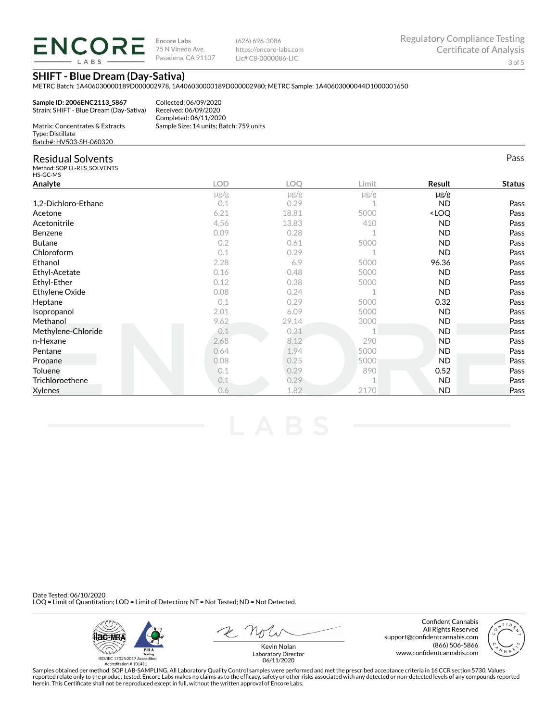**ENCORE** LABS

**Encore Labs** 75 N Vinedo Ave. Pasadena, CA 91107

Collected: 06/09/2020 Received: 06/09/2020

(626) 696-3086 https://encore-labs.com Lic# C8-0000086-LIC

Pass

**SHIFT - Blue Dream (Day-Sativa)**

METRC Batch: 1A406030000189D000002978, 1A406030000189D000002980; METRC Sample: 1A40603000044D1000001650

| Strain: SHIFT - Blue Dream (Dav-Sativa)                                        |
|--------------------------------------------------------------------------------|
| Matrix: Concentrates & Extracts<br>Type: Distillate<br>Batch#: HV503-SH-060320 |

San *I*-100448 For-

# Completed: 06/11/2020 Sample Size: 14 units; Batch: 759 units

# Residual Solvents

Method: SOP EL-RES\_SOLVENTS

| HS-GC-MS            |            |           |           |                                  |               |
|---------------------|------------|-----------|-----------|----------------------------------|---------------|
| Analyte             | <b>LOD</b> | LOQ       | Limit     | Result                           | <b>Status</b> |
|                     | $\mu$ g/g  | $\mu$ g/g | $\mu$ g/g | $\mu$ g/g                        |               |
| 1,2-Dichloro-Ethane | 0.1        | 0.29      |           | <b>ND</b>                        | Pass          |
| Acetone             | 6.21       | 18.81     | 5000      | <loq< td=""><td>Pass</td></loq<> | Pass          |
| Acetonitrile        | 4.56       | 13.83     | 410       | ND.                              | Pass          |
| Benzene             | 0.09       | 0.28      |           | <b>ND</b>                        | Pass          |
| <b>Butane</b>       | 0.2        | 0.61      | 5000      | ND.                              | Pass          |
| Chloroform          | 0.1        | 0.29      |           | <b>ND</b>                        | Pass          |
| Ethanol             | 2.28       | 6.9       | 5000      | 96.36                            | Pass          |
| Ethyl-Acetate       | 0.16       | 0.48      | 5000      | <b>ND</b>                        | Pass          |
| Ethyl-Ether         | 0.12       | 0.38      | 5000      | ND.                              | Pass          |
| Ethylene Oxide      | 0.08       | 0.24      |           | <b>ND</b>                        | Pass          |
| Heptane             | 0.1        | 0.29      | 5000      | 0.32                             | Pass          |
| Isopropanol         | 2.01       | 6.09      | 5000      | <b>ND</b>                        | Pass          |
| Methanol            | 9.62       | 29.14     | 3000      | <b>ND</b>                        | Pass          |
| Methylene-Chloride  | 0.1        | 0.31      |           | ND.                              | Pass          |
| n-Hexane            | 2.68       | 8.12      | 290       | <b>ND</b>                        | Pass          |
| Pentane             | 0.64       | 1.94      | 5000      | <b>ND</b>                        | Pass          |
| Propane             | 0.08       | 0.25      | 5000      | ND.                              | Pass          |
| Toluene             | 0.1        | 0.29      | 890       | 0.52                             | Pass          |
| Trichloroethene     | 0.1        | 0.29      |           | ND.                              | Pass          |
| <b>Xylenes</b>      | 0.6        | 1.82      | 2170      | <b>ND</b>                        | Pass          |

Date Tested: 06/10/2020 LOQ = Limit of Quantitation; LOD = Limit of Detection; NT = Not Tested; ND = Not Detected.

**ilac-MRA PJLA** alaha<sup>ha</sup> ISO/IEC 17025:2017 Ac redited Accreditation #101411

Confident Cannabis All Rights Reserved support@confidentcannabis.com (866) 506-5866 www.confidentcannabis.com



Kevin Nolan Laboratory Director 06/11/2020

Samples obtained per method: SOP LAB-SAMPLING. All Laboratory Quality Control samples were performed and met the prescribed acceptance criteria in 16 CCR section 5730. Values reported relate only to the product tested. Encore Labs makes no claims as to the efficacy, safety or other risks associated with any detected or non-detected levels of any compounds reported<br>herein. This Certificate shall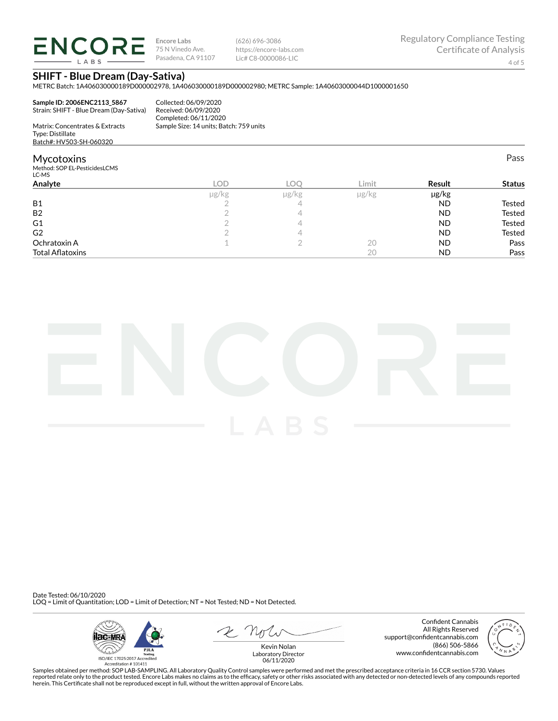**ENCORE** LABS

**Encore Labs** 75 N Vinedo Ave. Pasadena, CA 91107

(626) 696-3086 https://encore-labs.com Lic# C8-0000086-LIC

### **SHIFT - Blue Dream (Day-Sativa)**

METRC Batch: 1A406030000189D000002978, 1A406030000189D000002980; METRC Sample: 1A40603000044D1000001650

| Sample ID: 2006ENC2113 5867             | Collected: 06/09/2020                   |
|-----------------------------------------|-----------------------------------------|
| Strain: SHIFT - Blue Dream (Day-Sativa) | Received: 06/09/2020                    |
|                                         | Completed: 06/11/2020                   |
| Matrix: Concentrates & Extracts         | Sample Size: 14 units: Batch: 759 units |
| Type: Distillate                        |                                         |
| Batch#: HV503-SH-060320                 |                                         |

#### **Mycotoxins** Method: SOP EL-PesticidesLCMS LC-MS Pass **Analyte LOD LOQ Limit Result Status** µg/kg µg/kg µg/kg µg/kg B1 and the contract of  $\frac{2}{4}$  and  $\frac{4}{4}$  and  $\frac{1}{4}$  ND Tested B2 and  $\begin{array}{ccc} & 2 & 4 & 4 \end{array}$  and  $\begin{array}{ccc} & 1 & 1 \end{array}$  and  $\begin{array}{ccc} & 2 & 4 \end{array}$  and  $\begin{array}{ccc} & & \end{array}$  and  $\begin{array}{ccc} & & \end{array}$  and  $\begin{array}{ccc} & & \end{array}$  are  $\begin{array}{ccc} & & \end{array}$  and  $\begin{array}{ccc} & & \end{array}$  are  $\begin{array}{ccc} & & \end{array}$  and  $\begin{array}{ccc} & &$  $\begin{array}{cccccccccccccc} \textsf{G1} & & & & & 2 & & & 4 & & & & \textsf{ND} & & & \textsf{Tested} \end{array}$ G2 and  $\begin{array}{ccc} & 2 & 4 & 4 \end{array}$  and  $\begin{array}{ccc} & 1 & 1 \end{array}$  and  $\begin{array}{ccc} & 2 & 4 \end{array}$  and  $\begin{array}{ccc} & & \end{array}$  and  $\begin{array}{ccc} & & \end{array}$  and  $\begin{array}{ccc} & & \end{array}$  and  $\begin{array}{ccc} & & \end{array}$  and  $\begin{array}{ccc} & & \end{array}$  and  $\begin{array}{ccc} & & \end{array}$  and  $\begin{array}{ccc} & &$ Ochratoxin A 1 2 20 ND Pass Total Aatoxins 20 ND Pass



Date Tested: 06/10/2020 LOQ = Limit of Quantitation; LOD = Limit of Detection; NT = Not Tested; ND = Not Detected.



Confident Cannabis All Rights Reserved support@confidentcannabis.com (866) 506-5866 www.confidentcannabis.com



Kevin Nolan Laboratory Director 06/11/2020

Samples obtained per method: SOP LAB-SAMPLING. All Laboratory Quality Control samples were performed and met the prescribed acceptance criteria in 16 CCR section 5730. Values reported relate only to the product tested. Encore Labs makes no claims as to the efficacy, safety or other risks associated with any detected or non-detected levels of any compounds reported<br>herein. This Certificate shall